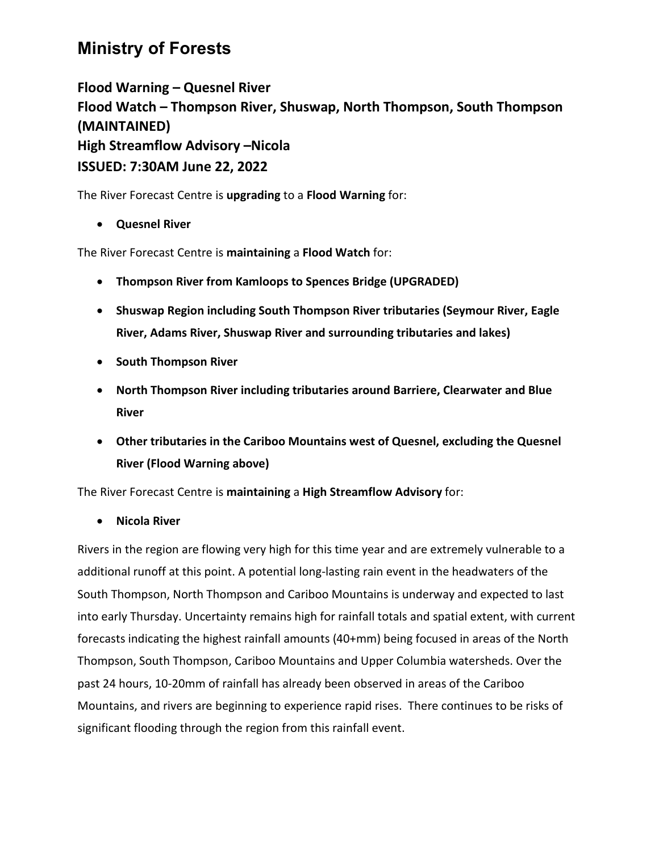## **Ministry of Forests**

**Flood Warning – Quesnel River Flood Watch – Thompson River, Shuswap, North Thompson, South Thompson (MAINTAINED) High Streamflow Advisory –Nicola ISSUED: 7:30AM June 22, 2022**

The River Forecast Centre is **upgrading** to a **Flood Warning** for:

## • **Quesnel River**

The River Forecast Centre is **maintaining** a **Flood Watch** for:

- **Thompson River from Kamloops to Spences Bridge (UPGRADED)**
- **Shuswap Region including South Thompson River tributaries (Seymour River, Eagle River, Adams River, Shuswap River and surrounding tributaries and lakes)**
- **South Thompson River**
- **North Thompson River including tributaries around Barriere, Clearwater and Blue River**
- **Other tributaries in the Cariboo Mountains west of Quesnel, excluding the Quesnel River (Flood Warning above)**

The River Forecast Centre is **maintaining** a **High Streamflow Advisory** for:

• **Nicola River**

Rivers in the region are flowing very high for this time year and are extremely vulnerable to a additional runoff at this point. A potential long-lasting rain event in the headwaters of the South Thompson, North Thompson and Cariboo Mountains is underway and expected to last into early Thursday. Uncertainty remains high for rainfall totals and spatial extent, with current forecasts indicating the highest rainfall amounts (40+mm) being focused in areas of the North Thompson, South Thompson, Cariboo Mountains and Upper Columbia watersheds. Over the past 24 hours, 10-20mm of rainfall has already been observed in areas of the Cariboo Mountains, and rivers are beginning to experience rapid rises. There continues to be risks of significant flooding through the region from this rainfall event.